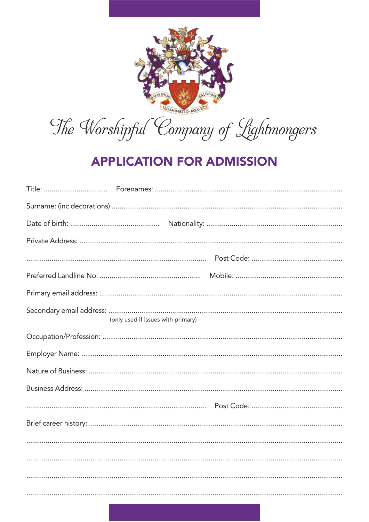

The Worshipful Company of Lightmongers

## **APPLICATION FOR ADMISSION**